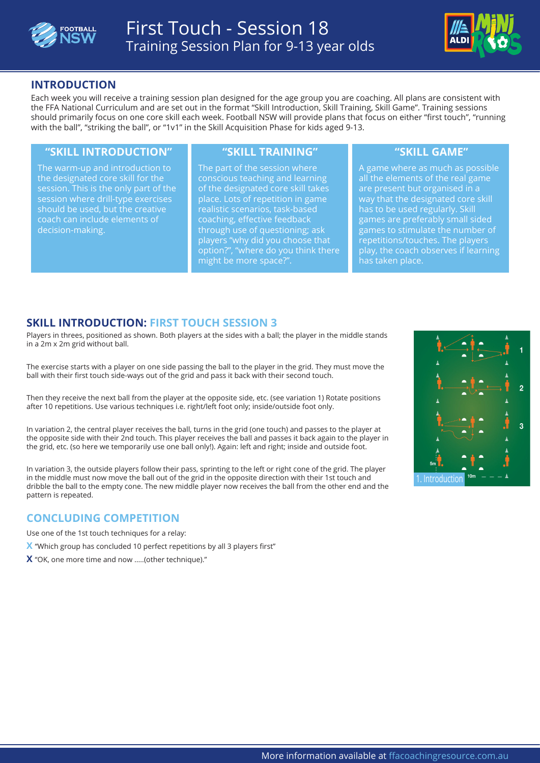



## **INTRODUCTION**

Each week you will receive a training session plan designed for the age group you are coaching. All plans are consistent with the FFA National Curriculum and are set out in the format "Skill Introduction, Skill Training, Skill Game". Training sessions should primarily focus on one core skill each week. Football NSW will provide plans that focus on either "first touch", "running with the ball", "striking the ball", or "1v1" in the Skill Acquisition Phase for kids aged 9-13.

#### **"SKILL INTRODUCTION" "SKILL TRAINING" "SKILL GAME"**

The warm-up and introduction to the designated core skill for the session. This is the only part of the session where drill-type exercises should be used, but the creative coach can include elements of decision-making.

The part of the session where conscious teaching and learning of the designated core skill takes place. Lots of repetition in game realistic scenarios, task-based coaching, effective feedback through use of questioning; ask players "why did you choose that option?", "where do you think there might be more space?".

A game where as much as possible all the elements of the real game are present but organised in a way that the designated core skill has to be used regularly. Skill games are preferably small sided games to stimulate the number of repetitions/touches. The players play, the coach observes if learning has taken place.

## **SKILL INTRODUCTION: FIRST TOUCH SESSION 3**

Players in threes, positioned as shown. Both players at the sides with a ball; the player in the middle stands in a 2m x 2m grid without ball.

The exercise starts with a player on one side passing the ball to the player in the grid. They must move the ball with their first touch side-ways out of the grid and pass it back with their second touch.

Then they receive the next ball from the player at the opposite side, etc. (see variation 1) Rotate positions after 10 repetitions. Use various techniques i.e. right/left foot only; inside/outside foot only.

In variation 2, the central player receives the ball, turns in the grid (one touch) and passes to the player at the opposite side with their 2nd touch. This player receives the ball and passes it back again to the player in the grid, etc. (so here we temporarily use one ball only!). Again: left and right; inside and outside foot.

In variation 3, the outside players follow their pass, sprinting to the left or right cone of the grid. The player in the middle must now move the ball out of the grid in the opposite direction with their 1st touch and dribble the ball to the empty cone. The new middle player now receives the ball from the other end and the pattern is repeated.

### **CONCLUDING COMPETITION**

Use one of the 1st touch techniques for a relay:

- **X** "Which group has concluded 10 perfect repetitions by all 3 players first"
- **X** "OK, one more time and now .....(other technique)."